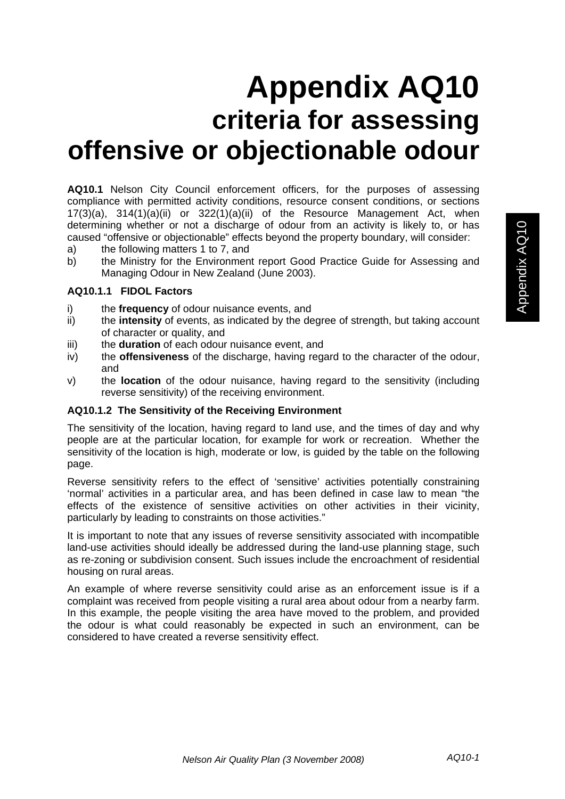# **Appendix AQ10 criteria for assessing offensive or objectionable odour**

**AQ10.1** Nelson City Council enforcement officers, for the purposes of assessing compliance with permitted activity conditions, resource consent conditions, or sections 17(3)(a), 314(1)(a)(ii) or 322(1)(a)(ii) of the Resource Management Act, when determining whether or not a discharge of odour from an activity is likely to, or has caused "offensive or objectionable" effects beyond the property boundary, will consider:

- a) the following matters 1 to 7, and
- b) the Ministry for the Environment report Good Practice Guide for Assessing and Managing Odour in New Zealand (June 2003).

#### **AQ10.1.1 FIDOL Factors**

- i) the **frequency** of odour nuisance events, and
- ii) the **intensity** of events, as indicated by the degree of strength, but taking account of character or quality, and
- iii) the **duration** of each odour nuisance event, and
- iv) the **offensiveness** of the discharge, having regard to the character of the odour, and
- v) the **location** of the odour nuisance, having regard to the sensitivity (including reverse sensitivity) of the receiving environment.

## **AQ10.1.2 The Sensitivity of the Receiving Environment**

The sensitivity of the location, having regard to land use, and the times of day and why people are at the particular location, for example for work or recreation. Whether the sensitivity of the location is high, moderate or low, is guided by the table on the following page.

Reverse sensitivity refers to the effect of 'sensitive' activities potentially constraining 'normal' activities in a particular area, and has been defined in case law to mean "the effects of the existence of sensitive activities on other activities in their vicinity, particularly by leading to constraints on those activities."

It is important to note that any issues of reverse sensitivity associated with incompatible land-use activities should ideally be addressed during the land-use planning stage, such as re-zoning or subdivision consent. Such issues include the encroachment of residential housing on rural areas.

An example of where reverse sensitivity could arise as an enforcement issue is if a complaint was received from people visiting a rural area about odour from a nearby farm. In this example, the people visiting the area have moved to the problem, and provided the odour is what could reasonably be expected in such an environment, can be considered to have created a reverse sensitivity effect.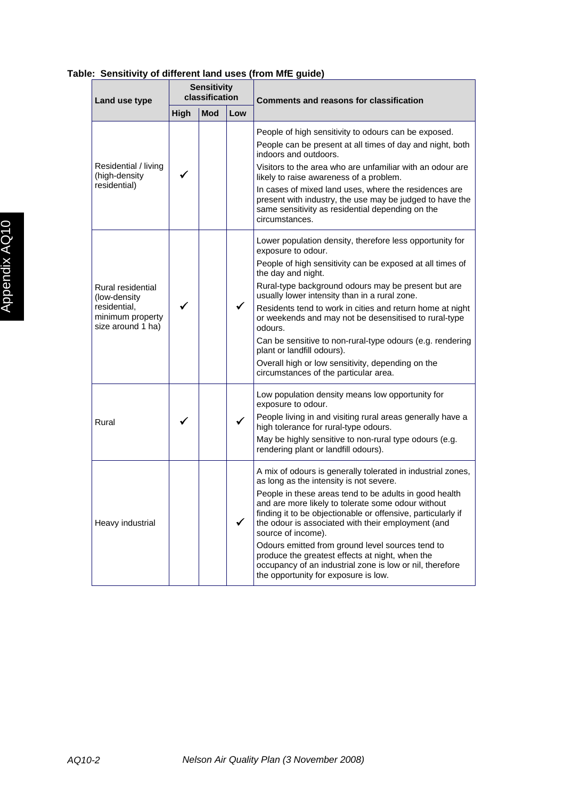#### **Land use type Sensitivity classification Comments and reasons for classification High Mod Low**  Residential / living (high-density residential)  $\checkmark$ People of high sensitivity to odours can be exposed. People can be present at all times of day and night, both indoors and outdoors. Visitors to the area who are unfamiliar with an odour are likely to raise awareness of a problem. In cases of mixed land uses, where the residences are present with industry, the use may be judged to have the same sensitivity as residential depending on the circumstances. Rural residential (low-density residential, minimum property size around 1 ha)  $\checkmark$  |  $\checkmark$ Lower population density, therefore less opportunity for exposure to odour. People of high sensitivity can be exposed at all times of the day and night. Rural-type background odours may be present but are usually lower intensity than in a rural zone. Residents tend to work in cities and return home at night or weekends and may not be desensitised to rural-type odours. Can be sensitive to non-rural-type odours (e.g. rendering plant or landfill odours). Overall high or low sensitivity, depending on the circumstances of the particular area. Rural  $\vert \checkmark \vert$   $\vert \checkmark$ Low population density means low opportunity for exposure to odour. People living in and visiting rural areas generally have a high tolerance for rural-type odours. May be highly sensitive to non-rural type odours (e.g. rendering plant or landfill odours). Heavy industrial  $\|\cdot\|$ A mix of odours is generally tolerated in industrial zones, as long as the intensity is not severe. People in these areas tend to be adults in good health and are more likely to tolerate some odour without finding it to be objectionable or offensive, particularly if the odour is associated with their employment (and source of income). Odours emitted from ground level sources tend to produce the greatest effects at night, when the occupancy of an industrial zone is low or nil, therefore the opportunity for exposure is low.

# **Table: Sensitivity of different land uses (from MfE guide)**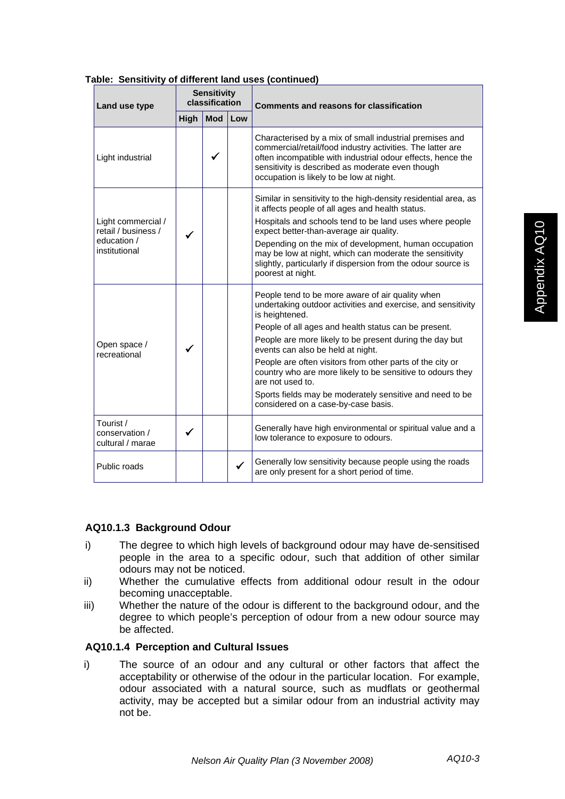| ANIV. VVIIJILITILY<br>Land use type                                       | or amorom rana asos (commaca<br><b>Sensitivity</b><br>classification |            |     | <b>Comments and reasons for classification</b>                                                                                                                                                                                                                                       |
|---------------------------------------------------------------------------|----------------------------------------------------------------------|------------|-----|--------------------------------------------------------------------------------------------------------------------------------------------------------------------------------------------------------------------------------------------------------------------------------------|
|                                                                           | High                                                                 | <b>Mod</b> | Low |                                                                                                                                                                                                                                                                                      |
| Light industrial                                                          |                                                                      | ✓          |     | Characterised by a mix of small industrial premises and<br>commercial/retail/food industry activities. The latter are<br>often incompatible with industrial odour effects, hence the<br>sensitivity is described as moderate even though<br>occupation is likely to be low at night. |
| Light commercial /<br>retail / business /<br>education /<br>institutional |                                                                      |            |     | Similar in sensitivity to the high-density residential area, as<br>it affects people of all ages and health status.<br>Hospitals and schools tend to be land uses where people<br>expect better-than-average air quality.<br>Depending on the mix of development, human occupation   |
|                                                                           |                                                                      |            |     | may be low at night, which can moderate the sensitivity<br>slightly, particularly if dispersion from the odour source is<br>poorest at night.                                                                                                                                        |
| Open space /<br>recreational                                              |                                                                      |            |     | People tend to be more aware of air quality when<br>undertaking outdoor activities and exercise, and sensitivity<br>is heightened.                                                                                                                                                   |
|                                                                           |                                                                      |            |     | People of all ages and health status can be present.                                                                                                                                                                                                                                 |
|                                                                           |                                                                      |            |     | People are more likely to be present during the day but<br>events can also be held at night.                                                                                                                                                                                         |
|                                                                           |                                                                      |            |     | People are often visitors from other parts of the city or<br>country who are more likely to be sensitive to odours they<br>are not used to.                                                                                                                                          |
|                                                                           |                                                                      |            |     | Sports fields may be moderately sensitive and need to be<br>considered on a case-by-case basis.                                                                                                                                                                                      |
| Tourist /<br>conservation /<br>cultural / marae                           | ✓                                                                    |            |     | Generally have high environmental or spiritual value and a<br>low tolerance to exposure to odours.                                                                                                                                                                                   |
| Public roads                                                              |                                                                      |            | ✓   | Generally low sensitivity because people using the roads<br>are only present for a short period of time.                                                                                                                                                                             |

#### **Table: Sensitivity of different land uses (continued)**

## **AQ10.1.3 Background Odour**

- i) The degree to which high levels of background odour may have de-sensitised people in the area to a specific odour, such that addition of other similar odours may not be noticed.
- ii) Whether the cumulative effects from additional odour result in the odour becoming unacceptable.
- iii) Whether the nature of the odour is different to the background odour, and the degree to which people's perception of odour from a new odour source may be affected.

#### **AQ10.1.4 Perception and Cultural Issues**

i) The source of an odour and any cultural or other factors that affect the acceptability or otherwise of the odour in the particular location. For example, odour associated with a natural source, such as mudflats or geothermal activity, may be accepted but a similar odour from an industrial activity may not be.